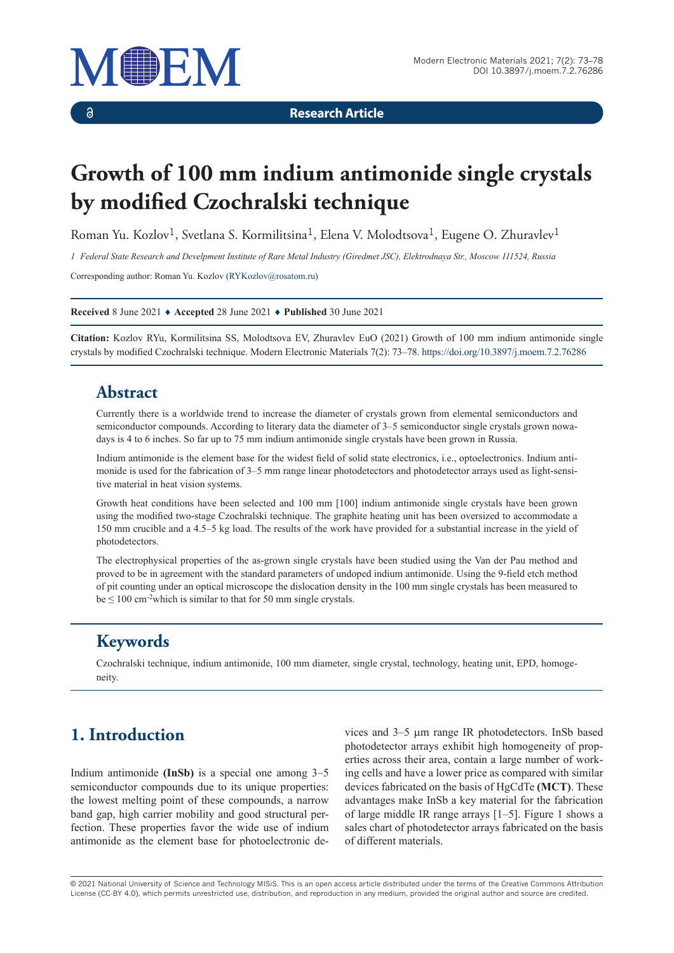

 $\delta$ 

**Research Article**

# **Growth of 100 mm indium antimonide single crystals by modified Czochralski technique**

Roman Yu. Kozlov<sup>1</sup>, Svetlana S. Kormilitsina<sup>1</sup>, Elena V. Molodtsova<sup>1</sup>, Eugene O. Zhuravlev<sup>1</sup>

*1 Federal State Research and Develpment Institute of Rare Metal Industry (Giredmet JSC), Elektrodnaya Str., Moscow 111524, Russia*

Corresponding author: Roman Yu. Kozlov (RYKozlov@rosatom.ru)

**Received** 8 June 2021 ♦ **Accepted** 28 June 2021 ♦ **Published** 30 June 2021

**Citation:** Kozlov RYu, Kormilitsina SS, Molodtsova EV, Zhuravlev EuO (2021) Growth of 100 mm indium antimonide single crystals by modified Czochralski technique. Modern Electronic Materials 7(2): 73–78. https://doi.org/10.3897/j.moem.7.2.76286

#### **Abstract**

Currently there is a worldwide trend to increase the diameter of crystals grown from elemental semiconductors and semiconductor compounds. According to literary data the diameter of 3–5 semiconductor single crystals grown nowadays is 4 to 6 inches. So far up to 75 mm indium antimonide single crystals have been grown in Russia.

Indium antimonide is the element base for the widest field of solid state electronics, i.e., optoelectronics. Indium antimonide is used for the fabrication of 3–5 mm range linear photodetectors and photodetector arrays used as light-sensitive material in heat vision systems.

Growth heat conditions have been selected and 100 mm [100] indium antimonide single crystals have been grown using the modified two-stage Czochralski technique. The graphite heating unit has been oversized to accommodate a 150 mm crucible and a 4.5–5 kg load. The results of the work have provided for a substantial increase in the yield of photodetectors.

The electrophysical properties of the as-grown single crystals have been studied using the Van der Pau method and proved to be in agreement with the standard parameters of undoped indium antimonide. Using the 9-field etch method of pit counting under an optical microscope the dislocation density in the 100 mm single crystals has been measured to  $be \le 100$  cm<sup>-2</sup>which is similar to that for 50 mm single crystals.

### **Keywords**

Czochralski technique, indium antimonide, 100 mm diameter, single crystal, technology, heating unit, EPD, homogeneity.

## **1. Introduction**

Indium antimonide **(InSb)** is a special one among 3–5 semiconductor compounds due to its unique properties: the lowest melting point of these compounds, a narrow band gap, high carrier mobility and good structural perfection. These properties favor the wide use of indium antimonide as the element base for photoelectronic devices and 3–5 mm range IR photodetectors. InSb based photodetector arrays exhibit high homogeneity of properties across their area, contain a large number of working cells and have a lower price as compared with similar devices fabricated on the basis of HgCdTe **(MCT)**. These advantages make InSb a key material for the fabrication of large middle IR range arrays [1–5]. Figure 1 shows a sales chart of photodetector arrays fabricated on the basis of different materials.

© 2021 National University of Science and Technology MISiS*.* This is an open access article distributed under the terms of the Creative Commons Attribution License (CC-BY 4.0), which permits unrestricted use, distribution, and reproduction in any medium, provided the original author and source are credited.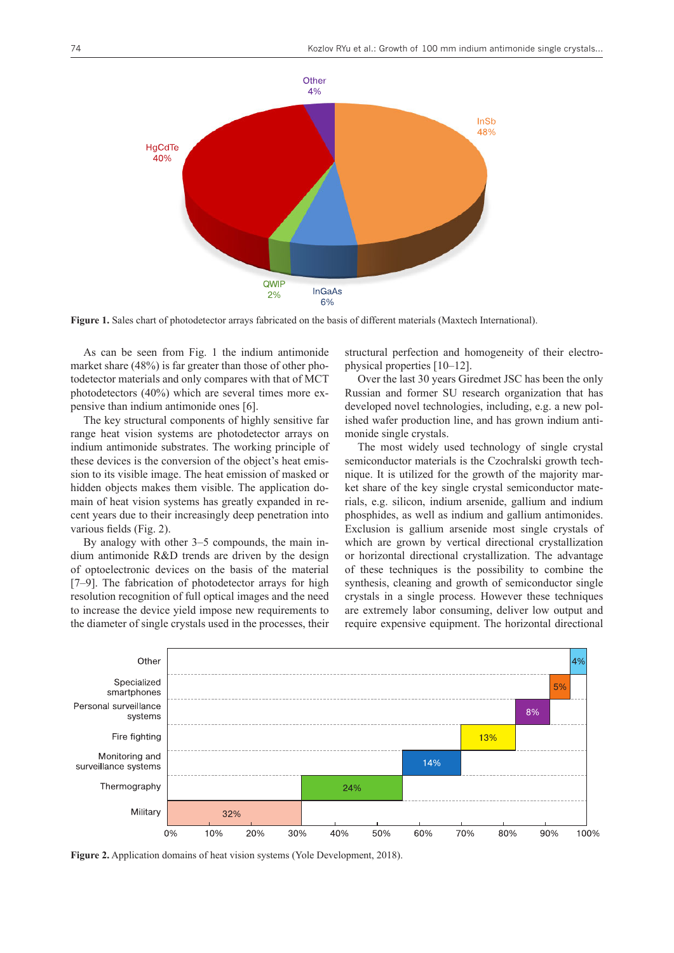

**Figure 1.** Sales chart of photodetector arrays fabricated on the basis of different materials (Maxtech Internationаl).

As can be seen from Fig. 1 the indium antimonide market share (48%) is far greater than those of other photodetector materials and only compares with that of MCT photodetectors (40%) which are several times more expensive than indium antimonide ones [6].

The key structural components of highly sensitive far range heat vision systems are photodetector arrays on indium antimonide substrates. The working principle of these devices is the conversion of the object's heat emission to its visible image. The heat emission of masked or hidden objects makes them visible. The application domain of heat vision systems has greatly expanded in recent years due to their increasingly deep penetration into various fields (Fig. 2).

By analogy with other 3–5 compounds, the main indium antimonide R&D trends are driven by the design of optoelectronic devices on the basis of the material [7–9]. The fabrication of photodetector arrays for high resolution recognition of full optical images and the need to increase the device yield impose new requirements to the diameter of single crystals used in the processes, their

structural perfection and homogeneity of their electrophysical properties [10–12].

Over the last 30 years Giredmet JSC has been the only Russian and former SU research organization that has developed novel technologies, including, e.g. a new polished wafer production line, and has grown indium antimonide single crystals.

The most widely used technology of single crystal semiconductor materials is the Czochralski growth technique. It is utilized for the growth of the majority market share of the key single crystal semiconductor materials, e.g. silicon, indium arsenide, gallium and indium phosphides, as well as indium and gallium antimonides. Exclusion is gallium arsenide most single crystals of which are grown by vertical directional crystallization or horizontal directional crystallization. The advantage of these techniques is the possibility to combine the synthesis, cleaning and growth of semiconductor single crystals in a single process. However these techniques are extremely labor consuming, deliver low output and require expensive equipment. The horizontal directional



**Figure 2.** Application domains of heat vision systems (Yole Development, 2018).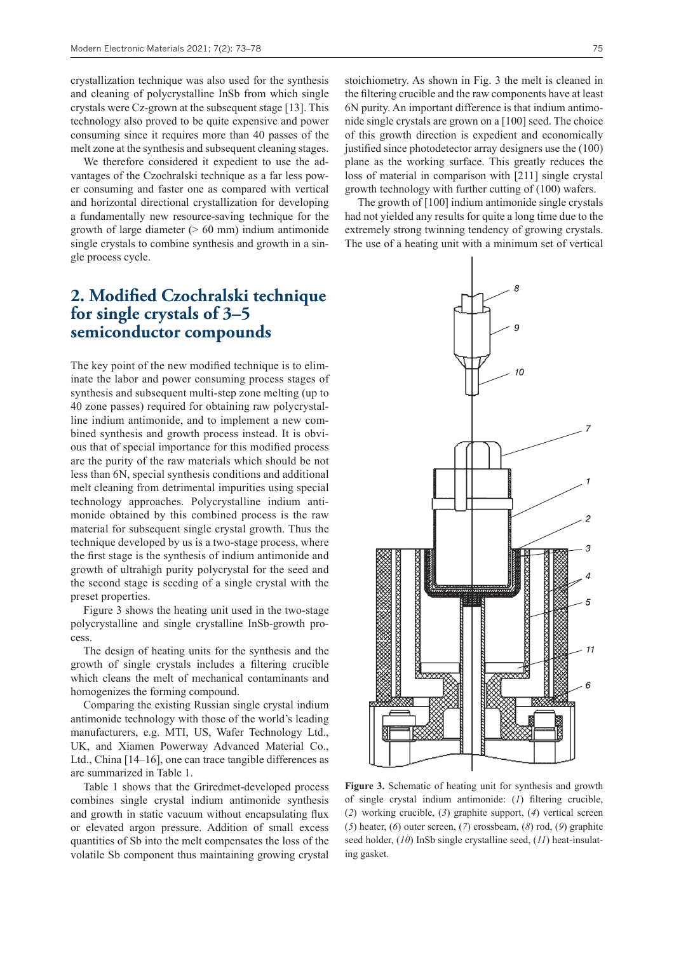crystallization technique was also used for the synthesis and cleaning of polycrystalline InSb from which single crystals were Cz-grown at the subsequent stage [13]. This technology also proved to be quite expensive and power consuming since it requires more than 40 passes of the melt zone at the synthesis and subsequent cleaning stages.

We therefore considered it expedient to use the advantages of the Czochralski technique as a far less power consuming and faster one as compared with vertical and horizontal directional crystallization for developing a fundamentally new resource-saving technique for the growth of large diameter  $(> 60$  mm) indium antimonide single crystals to combine synthesis and growth in a single process cycle.

#### **2. Modified Czochralski technique for single crystals of 3–5 semiconductor compounds**

The key point of the new modified technique is to eliminate the labor and power consuming process stages of synthesis and subsequent multi-step zone melting (up to 40 zone passes) required for obtaining raw polycrystalline indium antimonide, and to implement a new combined synthesis and growth process instead. It is obvious that of special importance for this modified process are the purity of the raw materials which should be not less than 6N, special synthesis conditions and additional melt cleaning from detrimental impurities using special technology approaches. Polycrystalline indium antimonide obtained by this combined process is the raw material for subsequent single crystal growth. Thus the technique developed by us is a two-stage process, where the first stage is the synthesis of indium antimonide and growth of ultrahigh purity polycrystal for the seed and the second stage is seeding of a single crystal with the preset properties.

Figure 3 shows the heating unit used in the two-stage polycrystalline and single crystalline InSb-growth process.

The design of heating units for the synthesis and the growth of single crystals includes a filtering crucible which cleans the melt of mechanical contaminants and homogenizes the forming compound.

Comparing the existing Russian single crystal indium antimonide technology with those of the world's leading manufacturers, e.g. MTI, US, Wafer Technology Ltd., UK, and Xiamen Powerway Advanced Material Co., Ltd., China [14–16], one can trace tangible differences as are summarized in Table 1.

Table 1 shows that the Griredmet-developed process combines single crystal indium antimonide synthesis and growth in static vacuum without encapsulating flux or elevated argon pressure. Addition of small excess quantities of Sb into the melt compensates the loss of the volatile Sb component thus maintaining growing crystal stoichiometry. As shown in Fig. 3 the melt is cleaned in the filtering crucible and the raw components have at least 6N purity. An important difference is that indium antimonide single crystals are grown on a [100] seed. The choice of this growth direction is expedient and economically justified since photodetector array designers use the (100) plane as the working surface. This greatly reduces the loss of material in comparison with [211] single crystal growth technology with further cutting of (100) wafers.

The growth of [100] indium antimonide single crystals had not yielded any results for quite a long time due to the extremely strong twinning tendency of growing crystals. The use of a heating unit with a minimum set of vertical



**Figure 3.** Schematic of heating unit for synthesis and growth of single crystal indium antimonide: (*1*) filtering crucible, (*2*) working crucible, (*3*) graphite support, (*4*) vertical screen (*5*) heater, (*6*) outer screen, (*7*) crossbeam, (*8*) rod, (*9*) graphite seed holder, (*10*) InSb single crystalline seed, (*11*) heat-insulating gasket.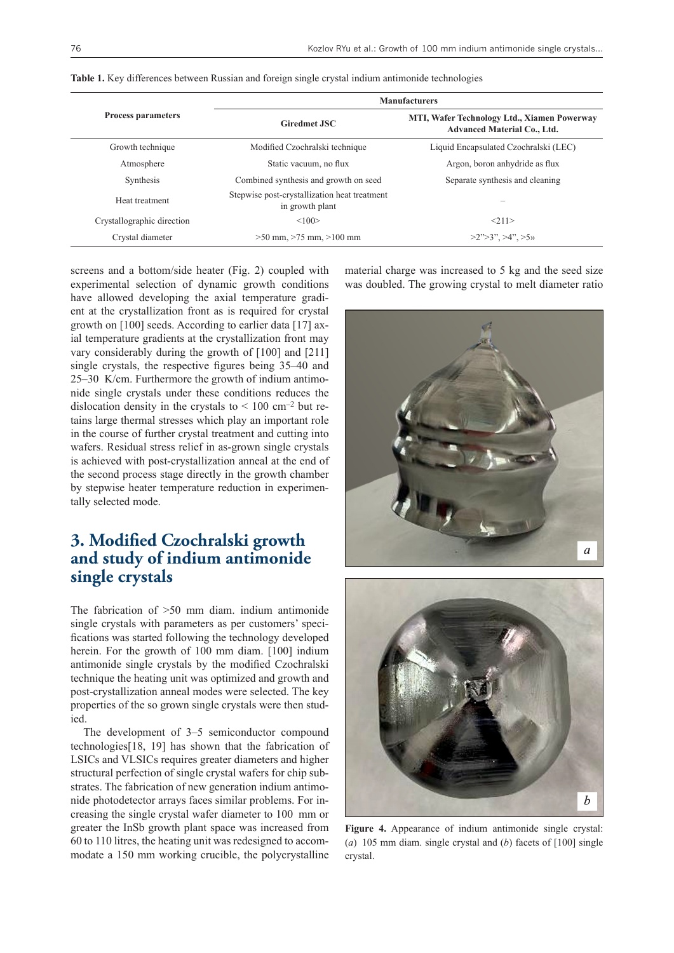|                            | <b>Manufacturers</b>                                            |                                                                                   |  |  |
|----------------------------|-----------------------------------------------------------------|-----------------------------------------------------------------------------------|--|--|
| <b>Process parameters</b>  | <b>Giredmet JSC</b>                                             | MTI, Wafer Technology Ltd., Xiamen Powerway<br><b>Advanced Material Co., Ltd.</b> |  |  |
| Growth technique           | Modified Czochralski technique                                  | Liquid Encapsulated Czochralski (LEC)                                             |  |  |
| Atmosphere                 | Static vacuum, no flux                                          | Argon, boron anhydride as flux                                                    |  |  |
| Synthesis                  | Combined synthesis and growth on seed                           | Separate synthesis and cleaning                                                   |  |  |
| Heat treatment             | Stepwise post-crystallization heat treatment<br>in growth plant |                                                                                   |  |  |
| Crystallographic direction | <100                                                            | <211>                                                                             |  |  |
| Crystal diameter           | $>50$ mm, $>75$ mm, $>100$ mm                                   | $>2$ " $>3$ ", $>4$ ", $>5$ "                                                     |  |  |

**Table 1.** Key differences between Russian and foreign single crystal indium antimonide technologies

screens and a bottom/side heater (Fig. 2) coupled with experimental selection of dynamic growth conditions have allowed developing the axial temperature gradient at the crystallization front as is required for crystal growth on [100] seeds. According to earlier data [17] axial temperature gradients at the crystallization front may vary considerably during the growth of [100] and [211] single crystals, the respective figures being 35–40 and 25–30 K/cm. Furthermore the growth of indium antimonide single crystals under these conditions reduces the dislocation density in the crystals to  $\leq 100 \text{ cm}^{-2}$  but retains large thermal stresses which play an important role in the course of further crystal treatment and cutting into wafers. Residual stress relief in as-grown single crystals is achieved with post-crystallization anneal at the end of the second process stage directly in the growth chamber by stepwise heater temperature reduction in experimentally selected mode.

#### **3. Modified Czochralski growth and study of indium antimonide single crystals**

The fabrication of >50 mm diam. indium antimonide single crystals with parameters as per customers' specifications was started following the technology developed herein. For the growth of 100 mm diam. [100] indium antimonide single crystals by the modified Czochralski technique the heating unit was optimized and growth and post-crystallization anneal modes were selected. The key properties of the so grown single crystals were then studied.

The development of 3–5 semiconductor compound technologies[18, 19] has shown that the fabrication of LSICs and VLSICs requires greater diameters and higher structural perfection of single crystal wafers for chip substrates. The fabrication of new generation indium antimonide photodetector arrays faces similar problems. For increasing the single crystal wafer diameter to 100 mm or greater the InSb growth plant space was increased from 60 to 110 litres, the heating unit was redesigned to accommodate a 150 mm working crucible, the polycrystalline material charge was increased to 5 kg and the seed size was doubled. The growing crystal to melt diameter ratio





**Figure 4.** Appearance of indium antimonide single crystal: (*a*) 105 mm diam. single crystal and (*b*) facets of [100] single crystal.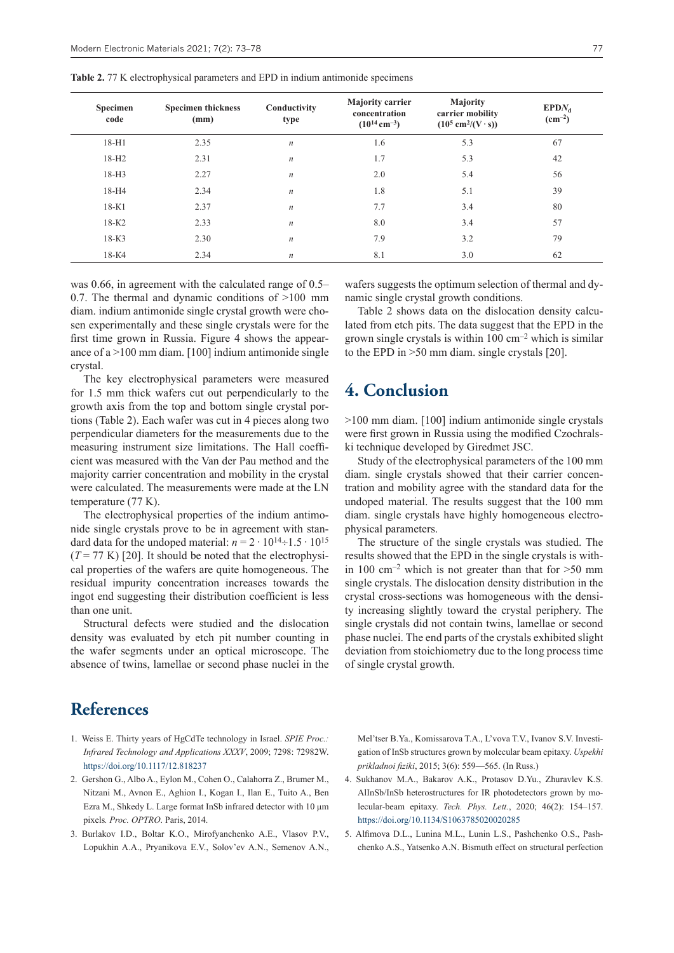| Specimen<br>code | <b>Specimen thickness</b><br>(mm) | Conductivity<br>type | <b>Majority carrier</b><br>concentration<br>$(10^{14} \text{ cm}^{-3})$ | <b>Majority</b><br>carrier mobility<br>$(10^5 \text{ cm}^2/(\text{V} \cdot \text{s}))$ | $EPDN_d$<br>$\rm (cm^{-2})$ |
|------------------|-----------------------------------|----------------------|-------------------------------------------------------------------------|----------------------------------------------------------------------------------------|-----------------------------|
| 18-H1            | 2.35                              | $\boldsymbol{n}$     | 1.6                                                                     | 5.3                                                                                    | 67                          |
| $18-H2$          | 2.31                              | $\boldsymbol{n}$     | 1.7                                                                     | 5.3                                                                                    | 42                          |
| $18-H3$          | 2.27                              | $\boldsymbol{n}$     | 2.0                                                                     | 5.4                                                                                    | 56                          |
| $18-H4$          | 2.34                              | $\boldsymbol{n}$     | 1.8                                                                     | 5.1                                                                                    | 39                          |
| $18-K1$          | 2.37                              | $\boldsymbol{n}$     | 7.7                                                                     | 3.4                                                                                    | 80                          |
| $18-K2$          | 2.33                              | $\boldsymbol{n}$     | 8.0                                                                     | 3.4                                                                                    | 57                          |
| $18-K3$          | 2.30                              | $\boldsymbol{n}$     | 7.9                                                                     | 3.2                                                                                    | 79                          |
| $18-K4$          | 2.34                              | $\boldsymbol{n}$     | 8.1                                                                     | 3.0                                                                                    | 62                          |

**Table 2.** 77 K electrophysical parameters and EPD in indium antimonide specimens

was 0.66, in agreement with the calculated range of 0.5– 0.7. The thermal and dynamic conditions of >100 mm diam. indium antimonide single crystal growth were chosen experimentally and these single crystals were for the first time grown in Russia. Figure 4 shows the appearance of  $a > 100$  mm diam. [100] indium antimonide single crystal.

The key electrophysical parameters were measured for 1.5 mm thick wafers cut out perpendicularly to the growth axis from the top and bottom single crystal portions (Table 2). Each wafer was cut in 4 pieces along two perpendicular diameters for the measurements due to the measuring instrument size limitations. The Hall coefficient was measured with the Van der Pau method and the majority carrier concentration and mobility in the crystal were calculated. The measurements were made at the LN temperature (77 K).

The electrophysical properties of the indium antimonide single crystals prove to be in agreement with standard data for the undoped material:  $n = 2 \cdot 10^{14} \div 1.5 \cdot 10^{15}$  $(T = 77 \text{ K})$  [20]. It should be noted that the electrophysical properties of the wafers are quite homogeneous. The residual impurity concentration increases towards the ingot end suggesting their distribution coefficient is less than one unit.

Structural defects were studied and the dislocation density was evaluated by etch pit number counting in the wafer segments under an optical microscope. The absence of twins, lamellae or second phase nuclei in the

wafers suggests the optimum selection of thermal and dynamic single crystal growth conditions.

Table 2 shows data on the dislocation density calculated from etch pits. The data suggest that the EPD in the grown single crystals is within  $100 \text{ cm}^{-2}$  which is similar to the EPD in >50 mm diam. single crystals [20].

#### **4. Conclusion**

>100 mm diam. [100] indium antimonide single crystals were first grown in Russia using the modified Czochralski technique developed by Giredmet JSC.

Study of the electrophysical parameters of the 100 mm diam. single crystals showed that their carrier concentration and mobility agree with the standard data for the undoped material. The results suggest that the 100 mm diam. single crystals have highly homogeneous electrophysical parameters.

The structure of the single crystals was studied. The results showed that the EPD in the single crystals is within 100 cm<sup>-2</sup> which is not greater than that for  $>50$  mm single crystals. The dislocation density distribution in the crystal cross-sections was homogeneous with the density increasing slightly toward the crystal periphery. The single crystals did not contain twins, lamellae or second phase nuclei. The end parts of the crystals exhibited slight deviation from stoichiometry due to the long process time of single crystal growth.

#### **References**

- 1. Weiss E. Thirty years of HgCdTe technology in Israel. *SPIE Proc.: Infrared Technology and Applications XXXV*, 2009; 7298: 72982W. https://doi.org/10.1117/12.818237
- 2. Gershon G., Albo A., Eylon M., Cohen O., Calahorra Z., Brumer M., Nitzani M., Avnon E., Aghion I., Kogan I., Ilan E., Tuito A., Ben Ezra M., Shkedy L. Large format InSb infrared detector with 10 μm pixels*. Proc. OPTRO*. Paris, 2014.
- 3. Burlakov I.D., Boltar K.O., Mirofyanchenko A.E., Vlasov P.V., Lopukhin A.A., Pryanikova E.V., Solov'ev A.N., Semenov A.N.,

Mel'tser B.Ya., Komissarova T.A., L'vova T.V., Ivanov S.V. Investigation of InSb structures grown by molecular beam epitaxy. *Uspekhi prikladnoi fiziki*, 2015; 3(6): 559—565. (In Russ.)

- 4. Sukhanov M.A., Bakarov A.K., Protasov D.Yu., Zhuravlev K.S. AlInSb/InSb heterostructures for IR photodetectors grown by molecular-beam epitaxy. *Tech. Phys. Lett.*, 2020; 46(2): 154–157. https://doi.org/10.1134/S1063785020020285
- 5. Alfimova D.L., Lunina M.L., Lunin L.S., Pashchenko O.S., Pashchenko A.S., Yatsenko A.N. Bismuth effect on structural perfection